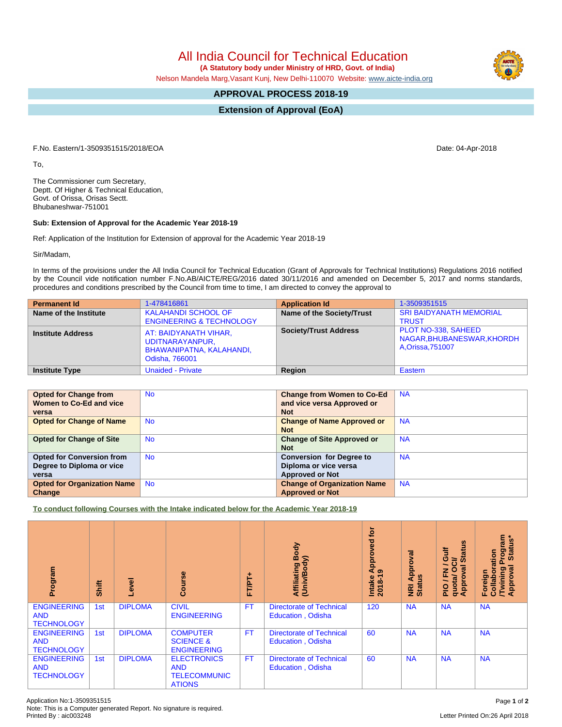All India Council for Technical Education

 **(A Statutory body under Ministry of HRD, Govt. of India)**

Nelson Mandela Marg,Vasant Kunj, New Delhi-110070 Website: [www.aicte-india.org](http://www.aicte-india.org)

## **APPROVAL PROCESS 2018-19**

**Extension of Approval (EoA)**

F.No. Eastern/1-3509351515/2018/EOA Date: 04-Apr-2018

To,

The Commissioner cum Secretary, Deptt. Of Higher & Technical Education, Govt. of Orissa, Orisas Sectt. Bhubaneshwar-751001

## **Sub: Extension of Approval for the Academic Year 2018-19**

Ref: Application of the Institution for Extension of approval for the Academic Year 2018-19

Sir/Madam,

In terms of the provisions under the All India Council for Technical Education (Grant of Approvals for Technical Institutions) Regulations 2016 notified by the Council vide notification number F.No.AB/AICTE/REG/2016 dated 30/11/2016 and amended on December 5, 2017 and norms standards, procedures and conditions prescribed by the Council from time to time, I am directed to convey the approval to

| <b>Permanent Id</b>      | 1-478416861                                                                            | <b>Application Id</b>        | 1-3509351515                                                           |
|--------------------------|----------------------------------------------------------------------------------------|------------------------------|------------------------------------------------------------------------|
| Name of the Institute    | <b>KALAHANDI SCHOOL OF</b><br><b>ENGINEERING &amp; TECHNOLOGY</b>                      | Name of the Society/Trust    | <b>SRI BAIDYANATH MEMORIAL</b><br><b>TRUST</b>                         |
| <b>Institute Address</b> | AT: BAIDYANATH VIHAR,<br>UDITNARAYANPUR,<br>BHAWANIPATNA, KALAHANDI,<br>Odisha, 766001 | <b>Society/Trust Address</b> | PLOT NO-338, SAHEED<br>NAGAR, BHUBANESWAR, KHORDH<br>A, Orissa, 751007 |
| <b>Institute Type</b>    | <b>Unaided - Private</b>                                                               | Region                       | Eastern                                                                |

| <b>Opted for Change from</b>       | <b>No</b> | <b>Change from Women to Co-Ed</b>  | <b>NA</b> |
|------------------------------------|-----------|------------------------------------|-----------|
| Women to Co-Ed and vice            |           | and vice versa Approved or         |           |
| versa                              |           | <b>Not</b>                         |           |
| <b>Opted for Change of Name</b>    | <b>No</b> | <b>Change of Name Approved or</b>  | <b>NA</b> |
|                                    |           | <b>Not</b>                         |           |
| <b>Opted for Change of Site</b>    | <b>No</b> | <b>Change of Site Approved or</b>  | <b>NA</b> |
|                                    |           | <b>Not</b>                         |           |
| <b>Opted for Conversion from</b>   | <b>No</b> | <b>Conversion for Degree to</b>    | <b>NA</b> |
| Degree to Diploma or vice          |           | Diploma or vice versa              |           |
| versa                              |           | <b>Approved or Not</b>             |           |
| <b>Opted for Organization Name</b> | <b>No</b> | <b>Change of Organization Name</b> | <b>NA</b> |
| Change                             |           | <b>Approved or Not</b>             |           |

**To conduct following Courses with the Intake indicated below for the Academic Year 2018-19**

| Program                                               | Shift | Level          | rse<br>ပ္ပြ                                                              | FT/PT+    | Body<br>Affiliating Book<br>(Univ/Body)                     | tor<br>yed<br>ppro <sup>-</sup><br>ৰ<br>െ<br>$2018 - 1$<br>Intake | Approval<br><b>Status</b><br>$\overline{g}$ | g<br><b>Gulf</b><br><b>State</b><br><b>NOO</b><br>∽<br>g<br>준<br>quota/<br>Approv<br>$\frac{1}{2}$ | <b>rogram</b><br>Status*<br>Collaboration<br>ख़<br><b>Twining</b><br>Approval<br>Foreig |
|-------------------------------------------------------|-------|----------------|--------------------------------------------------------------------------|-----------|-------------------------------------------------------------|-------------------------------------------------------------------|---------------------------------------------|----------------------------------------------------------------------------------------------------|-----------------------------------------------------------------------------------------|
| <b>ENGINEERING</b><br><b>AND</b><br><b>TECHNOLOGY</b> | 1st   | <b>DIPLOMA</b> | <b>CIVIL</b><br><b>ENGINEERING</b>                                       | <b>FT</b> | <b>Directorate of Technical</b><br><b>Education, Odisha</b> | 120                                                               | <b>NA</b>                                   | <b>NA</b>                                                                                          | <b>NA</b>                                                                               |
| <b>ENGINEERING</b><br><b>AND</b><br><b>TECHNOLOGY</b> | 1st   | <b>DIPLOMA</b> | <b>COMPUTER</b><br><b>SCIENCE &amp;</b><br><b>ENGINEERING</b>            | <b>FT</b> | <b>Directorate of Technical</b><br><b>Education, Odisha</b> | 60                                                                | <b>NA</b>                                   | <b>NA</b>                                                                                          | <b>NA</b>                                                                               |
| <b>ENGINEERING</b><br><b>AND</b><br><b>TECHNOLOGY</b> | 1st   | <b>DIPLOMA</b> | <b>ELECTRONICS</b><br><b>AND</b><br><b>TELECOMMUNIC</b><br><b>ATIONS</b> | <b>FT</b> | <b>Directorate of Technical</b><br><b>Education, Odisha</b> | 60                                                                | <b>NA</b>                                   | <b>NA</b>                                                                                          | <b>NA</b>                                                                               |